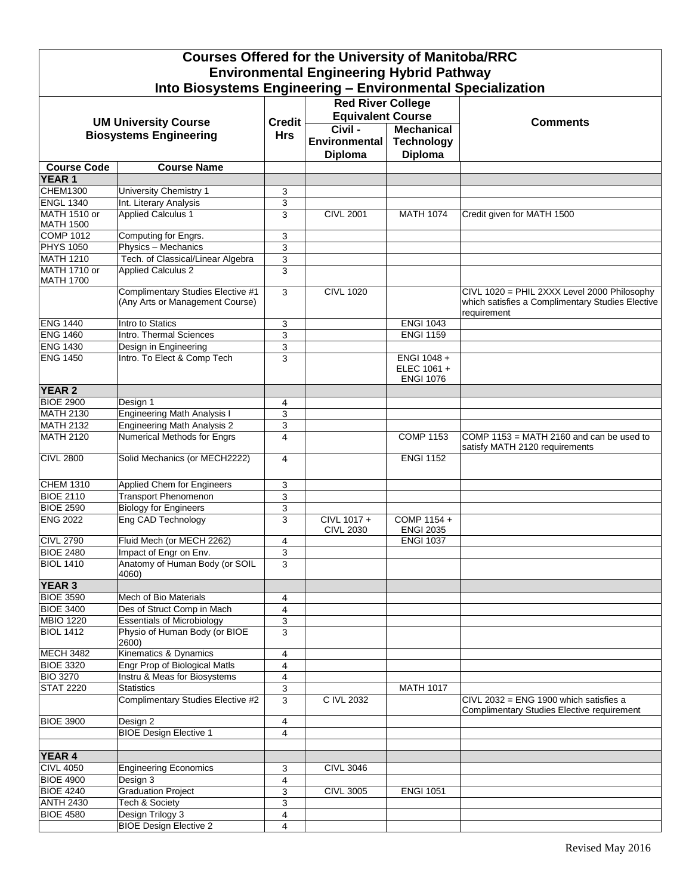| <b>Courses Offered for the University of Manitoba/RRC</b>                              |                                                                      |               |                                 |                                               |                                                                                                                |  |  |  |  |
|----------------------------------------------------------------------------------------|----------------------------------------------------------------------|---------------|---------------------------------|-----------------------------------------------|----------------------------------------------------------------------------------------------------------------|--|--|--|--|
| <b>Environmental Engineering Hybrid Pathway</b>                                        |                                                                      |               |                                 |                                               |                                                                                                                |  |  |  |  |
| Into Biosystems Engineering - Environmental Specialization<br><b>Red River College</b> |                                                                      |               |                                 |                                               |                                                                                                                |  |  |  |  |
|                                                                                        |                                                                      |               |                                 |                                               |                                                                                                                |  |  |  |  |
|                                                                                        | <b>UM University Course</b>                                          | <b>Credit</b> | <b>Equivalent Course</b>        |                                               | <b>Comments</b>                                                                                                |  |  |  |  |
| <b>Biosystems Engineering</b>                                                          |                                                                      | <b>Hrs</b>    | Civil -                         | <b>Mechanical</b>                             |                                                                                                                |  |  |  |  |
|                                                                                        |                                                                      |               | Environmental<br><b>Diploma</b> | <b>Technology</b><br><b>Diploma</b>           |                                                                                                                |  |  |  |  |
| <b>Course Code</b>                                                                     | <b>Course Name</b>                                                   |               |                                 |                                               |                                                                                                                |  |  |  |  |
| <b>YEAR1</b>                                                                           |                                                                      |               |                                 |                                               |                                                                                                                |  |  |  |  |
| <b>CHEM1300</b>                                                                        | University Chemistry 1                                               | 3             |                                 |                                               |                                                                                                                |  |  |  |  |
| <b>ENGL 1340</b>                                                                       | Int. Literary Analysis                                               | 3             |                                 |                                               |                                                                                                                |  |  |  |  |
| <b>MATH 1510 or</b><br><b>MATH 1500</b>                                                | <b>Applied Calculus 1</b>                                            | 3             | <b>CIVL 2001</b>                | <b>MATH 1074</b>                              | Credit given for MATH 1500                                                                                     |  |  |  |  |
| <b>COMP 1012</b>                                                                       | Computing for Engrs.                                                 | 3             |                                 |                                               |                                                                                                                |  |  |  |  |
| <b>PHYS 1050</b>                                                                       | Physics - Mechanics                                                  | 3             |                                 |                                               |                                                                                                                |  |  |  |  |
| <b>MATH 1210</b>                                                                       | Tech. of Classical/Linear Algebra                                    | 3             |                                 |                                               |                                                                                                                |  |  |  |  |
| <b>MATH 1710 or</b><br><b>MATH 1700</b>                                                | <b>Applied Calculus 2</b>                                            | 3             |                                 |                                               |                                                                                                                |  |  |  |  |
|                                                                                        | Complimentary Studies Elective #1<br>(Any Arts or Management Course) | 3             | <b>CIVL 1020</b>                |                                               | CIVL 1020 = PHIL 2XXX Level 2000 Philosophy<br>which satisfies a Complimentary Studies Elective<br>requirement |  |  |  |  |
| <b>ENG 1440</b>                                                                        | Intro to Statics                                                     | 3             |                                 | <b>ENGI 1043</b>                              |                                                                                                                |  |  |  |  |
| <b>ENG 1460</b>                                                                        | Intro. Thermal Sciences                                              | 3             |                                 | <b>ENGI 1159</b>                              |                                                                                                                |  |  |  |  |
| <b>ENG 1430</b>                                                                        | Design in Engineering                                                | 3             |                                 |                                               |                                                                                                                |  |  |  |  |
| <b>ENG 1450</b>                                                                        | Intro. To Elect & Comp Tech                                          | 3             |                                 | ENGI 1048+<br>ELEC 1061 +<br><b>ENGI 1076</b> |                                                                                                                |  |  |  |  |
| <b>YEAR 2</b>                                                                          |                                                                      |               |                                 |                                               |                                                                                                                |  |  |  |  |
| <b>BIOE 2900</b>                                                                       | Design 1                                                             | 4             |                                 |                                               |                                                                                                                |  |  |  |  |
| <b>MATH 2130</b>                                                                       | <b>Engineering Math Analysis I</b>                                   | 3             |                                 |                                               |                                                                                                                |  |  |  |  |
| <b>MATH 2132</b>                                                                       | <b>Engineering Math Analysis 2</b>                                   | 3             |                                 |                                               |                                                                                                                |  |  |  |  |
| <b>MATH 2120</b>                                                                       | Numerical Methods for Engrs                                          | 4             |                                 | <b>COMP 1153</b>                              | COMP 1153 = MATH 2160 and can be used to<br>satisfy MATH 2120 requirements                                     |  |  |  |  |
| <b>CIVL 2800</b>                                                                       | Solid Mechanics (or MECH2222)                                        | 4             |                                 | <b>ENGI 1152</b>                              |                                                                                                                |  |  |  |  |
| <b>CHEM 1310</b>                                                                       | <b>Applied Chem for Engineers</b>                                    | 3             |                                 |                                               |                                                                                                                |  |  |  |  |
| <b>BIOE 2110</b>                                                                       | <b>Transport Phenomenon</b>                                          | 3             |                                 |                                               |                                                                                                                |  |  |  |  |
| <b>BIOE 2590</b>                                                                       | <b>Biology for Engineers</b>                                         | 3             |                                 |                                               |                                                                                                                |  |  |  |  |
| <b>ENG 2022</b>                                                                        | Eng CAD Technology                                                   | 3             | CIVL 1017+<br><b>CIVL 2030</b>  | COMP 1154 +<br><b>ENGI 2035</b>               |                                                                                                                |  |  |  |  |
| <b>CIVL 2790</b>                                                                       | Fluid Mech (or MECH 2262)                                            | 4             |                                 | <b>ENGI 1037</b>                              |                                                                                                                |  |  |  |  |
| <b>BIOE 2480</b>                                                                       | Impact of Engr on Env.                                               | 3             |                                 |                                               |                                                                                                                |  |  |  |  |
| <b>BIOL 1410</b>                                                                       | Anatomy of Human Body (or SOIL<br>4060)                              | 3             |                                 |                                               |                                                                                                                |  |  |  |  |
| <b>YEAR 3</b>                                                                          |                                                                      |               |                                 |                                               |                                                                                                                |  |  |  |  |
| <b>BIOE 3590</b>                                                                       | Mech of Bio Materials                                                | 4             |                                 |                                               |                                                                                                                |  |  |  |  |
| <b>BIOE 3400</b><br><b>MBIO 1220</b>                                                   | Des of Struct Comp in Mach<br><b>Essentials of Microbiology</b>      | 4             |                                 |                                               |                                                                                                                |  |  |  |  |
| <b>BIOL 1412</b>                                                                       | Physio of Human Body (or BIOE                                        | 3<br>3        |                                 |                                               |                                                                                                                |  |  |  |  |
|                                                                                        | 2600)                                                                |               |                                 |                                               |                                                                                                                |  |  |  |  |
| <b>MECH 3482</b>                                                                       | Kinematics & Dynamics                                                | 4             |                                 |                                               |                                                                                                                |  |  |  |  |
| <b>BIOE 3320</b>                                                                       | <b>Engr Prop of Biological Matls</b>                                 | 4             |                                 |                                               |                                                                                                                |  |  |  |  |
| <b>BIO 3270</b>                                                                        | Instru & Meas for Biosystems                                         | 4             |                                 |                                               |                                                                                                                |  |  |  |  |
| <b>STAT 2220</b>                                                                       | <b>Statistics</b>                                                    | 3             |                                 | <b>MATH 1017</b>                              |                                                                                                                |  |  |  |  |
|                                                                                        | Complimentary Studies Elective #2                                    | 3             | C IVL 2032                      |                                               | CIVL 2032 = ENG 1900 which satisfies a<br>Complimentary Studies Elective requirement                           |  |  |  |  |
| <b>BIOE 3900</b>                                                                       | Design 2                                                             | 4             |                                 |                                               |                                                                                                                |  |  |  |  |
|                                                                                        | <b>BIOE Design Elective 1</b>                                        | 4             |                                 |                                               |                                                                                                                |  |  |  |  |
|                                                                                        |                                                                      |               |                                 |                                               |                                                                                                                |  |  |  |  |
| YEAR 4                                                                                 |                                                                      |               |                                 |                                               |                                                                                                                |  |  |  |  |
| <b>CIVL 4050</b>                                                                       | <b>Engineering Economics</b>                                         | 3             | <b>CIVL 3046</b>                |                                               |                                                                                                                |  |  |  |  |
| <b>BIOE 4900</b><br><b>BIOE 4240</b>                                                   | Design 3<br><b>Graduation Project</b>                                | 4<br>3        | <b>CIVL 3005</b>                | <b>ENGI 1051</b>                              |                                                                                                                |  |  |  |  |
| <b>ANTH 2430</b>                                                                       | <b>Tech &amp; Society</b>                                            | 3             |                                 |                                               |                                                                                                                |  |  |  |  |
| <b>BIOE 4580</b>                                                                       | Design Trilogy 3                                                     | 4             |                                 |                                               |                                                                                                                |  |  |  |  |
|                                                                                        | <b>BIOE Design Elective 2</b>                                        | 4             |                                 |                                               |                                                                                                                |  |  |  |  |
|                                                                                        |                                                                      |               |                                 |                                               |                                                                                                                |  |  |  |  |